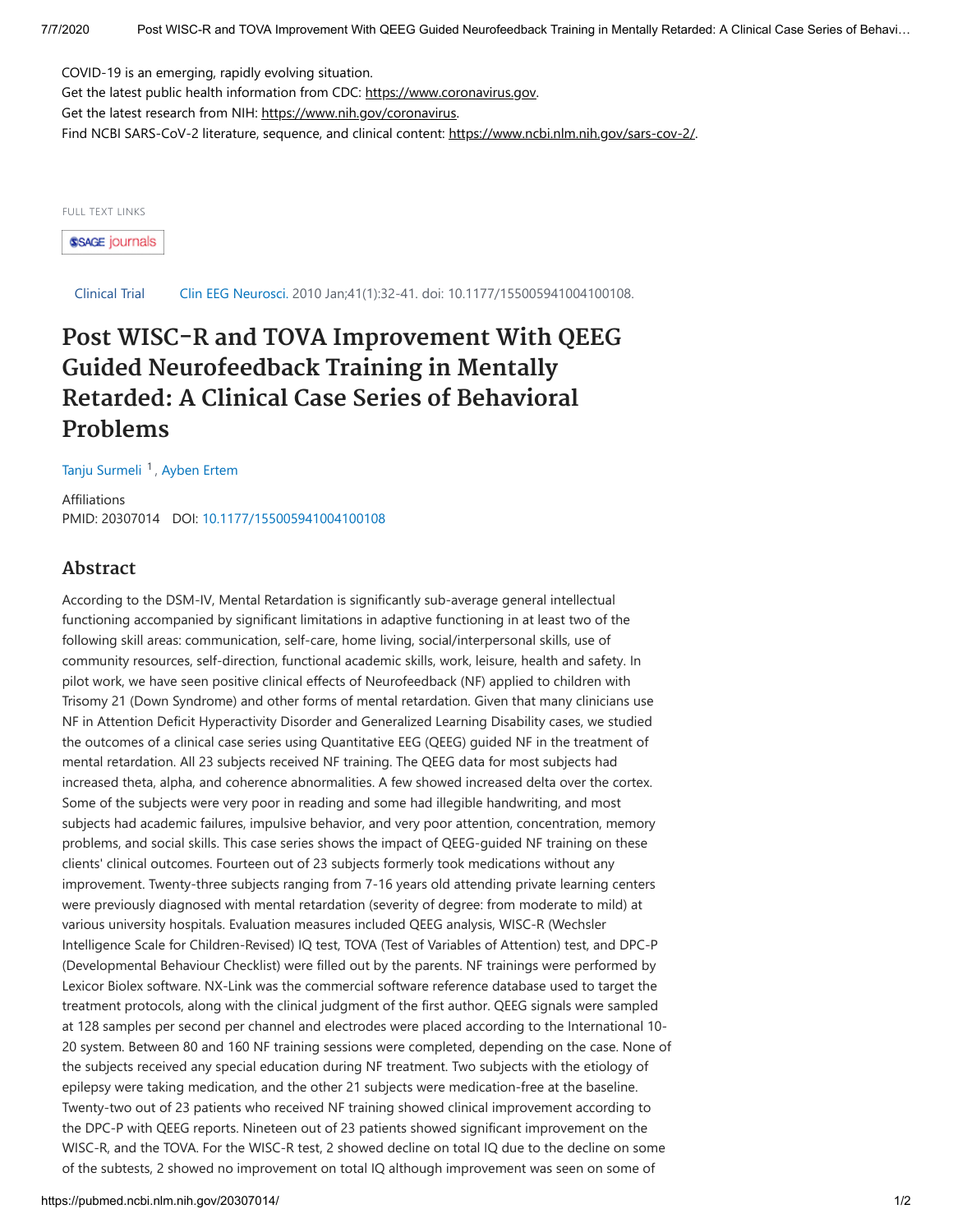COVID-19 is an emerging, rapidly evolving situation.

Get the latest public health information from CDC: [https://www.coronavirus.gov.](https://www.coronavirus.gov/) Get the latest research from NIH: <https://www.nih.gov/coronavirus>. Find NCBI SARS-CoV-2 literature, sequence, and clinical content: [https://www.ncbi.nlm.nih.gov/sars-cov-2/.](https://www.ncbi.nlm.nih.gov/sars-cov-2/)

FULL TEXT LINKS

**SSAGE journals** 

Clinical Trial Clin EEG Neurosci. 2010 Jan;41(1):32-41. doi: 10.1177/155005941004100108.

## **Post WISC-R and TOVA Improvement With QEEG Guided Neurofeedback Training in Mentally Retarded: A Clinical Case Series of Behavioral Problems**

[Tanju Surmeli](https://pubmed.ncbi.nlm.nih.gov/?term=Surmeli+T&cauthor_id=20307014)<sup>1</sup>, [Ayben Ertem](https://pubmed.ncbi.nlm.nih.gov/?term=Ertem+A&cauthor_id=20307014)

Affiliations PMID: 20307014 DOI: [10.1177/155005941004100108](https://doi.org/10.1177/155005941004100108)

## **Abstract**

According to the DSM-IV, Mental Retardation is significantly sub-average general intellectual functioning accompanied by significant limitations in adaptive functioning in at least two of the following skill areas: communication, self-care, home living, social/interpersonal skills, use of community resources, self-direction, functional academic skills, work, leisure, health and safety. In pilot work, we have seen positive clinical effects of Neurofeedback (NF) applied to children with Trisomy 21 (Down Syndrome) and other forms of mental retardation. Given that many clinicians use NF in Attention Deficit Hyperactivity Disorder and Generalized Learning Disability cases, we studied the outcomes of a clinical case series using Quantitative EEG (QEEG) guided NF in the treatment of mental retardation. All 23 subjects received NF training. The QEEG data for most subjects had increased theta, alpha, and coherence abnormalities. A few showed increased delta over the cortex. Some of the subjects were very poor in reading and some had illegible handwriting, and most subjects had academic failures, impulsive behavior, and very poor attention, concentration, memory problems, and social skills. This case series shows the impact of QEEG-guided NF training on these clients' clinical outcomes. Fourteen out of 23 subjects formerly took medications without any improvement. Twenty-three subjects ranging from 7-16 years old attending private learning centers were previously diagnosed with mental retardation (severity of degree: from moderate to mild) at various university hospitals. Evaluation measures included QEEG analysis, WISC-R (Wechsler Intelligence Scale for Children-Revised) IQ test, TOVA (Test of Variables of Attention) test, and DPC-P (Developmental Behaviour Checklist) were filled out by the parents. NF trainings were performed by Lexicor Biolex software. NX-Link was the commercial software reference database used to target the treatment protocols, along with the clinical judgment of the first author. QEEG signals were sampled at 128 samples per second per channel and electrodes were placed according to the International 10- 20 system. Between 80 and 160 NF training sessions were completed, depending on the case. None of the subjects received any special education during NF treatment. Two subjects with the etiology of epilepsy were taking medication, and the other 21 subjects were medication-free at the baseline. Twenty-two out of 23 patients who received NF training showed clinical improvement according to the DPC-P with QEEG reports. Nineteen out of 23 patients showed significant improvement on the WISC-R, and the TOVA. For the WISC-R test, 2 showed decline on total IQ due to the decline on some of the subtests, 2 showed no improvement on total IQ although improvement was seen on some of